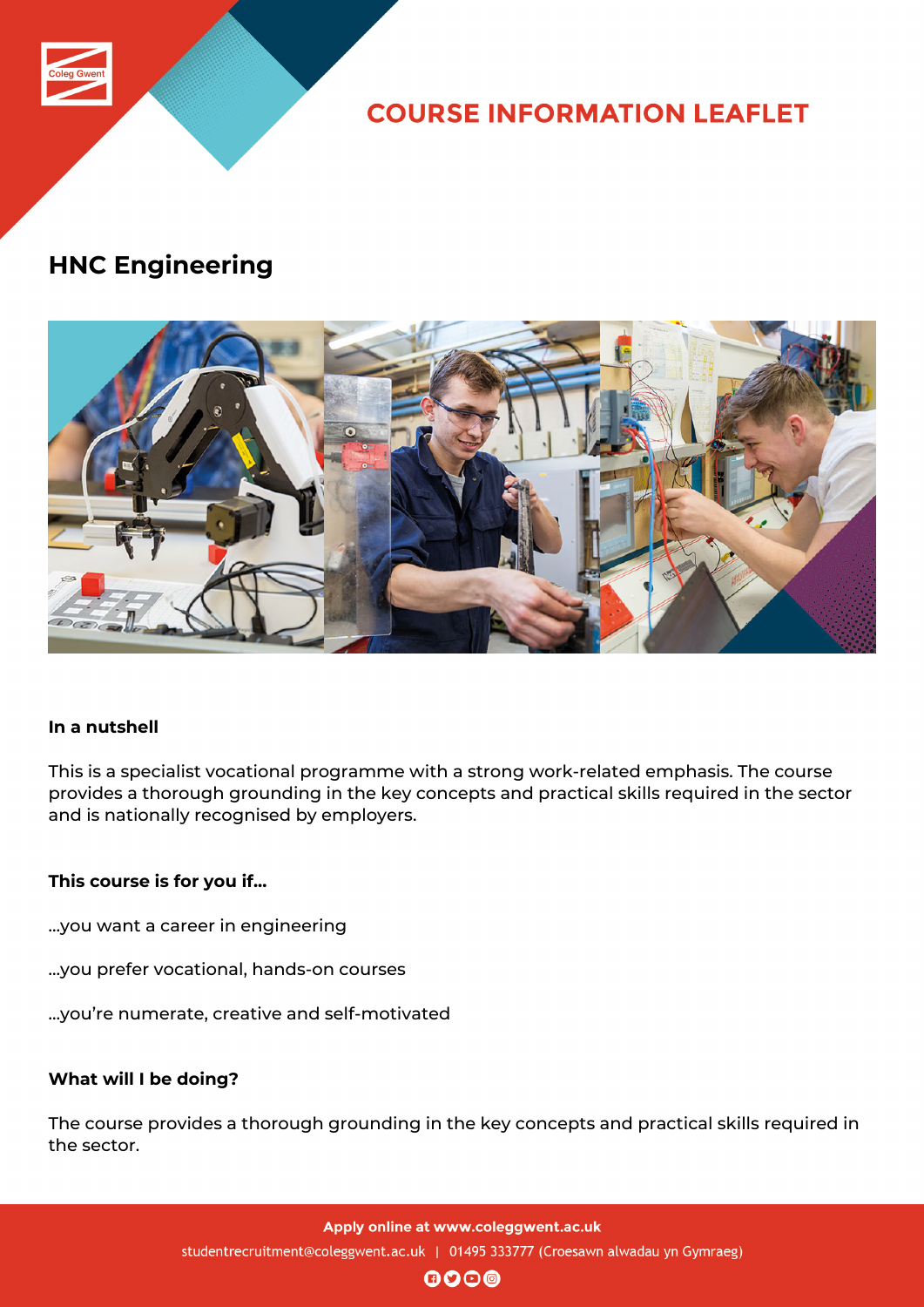

**COURSE INFORMATION LEAFLET** 

# **HNC Engineering**



## **In a nutshell**

This is a specialist vocational programme with a strong work-related emphasis. The course provides a thorough grounding in the key concepts and practical skills required in the sector and is nationally recognised by employers.

## **This course is for you if...**

- …you want a career in engineering
- …you prefer vocational, hands-on courses
- …you're numerate, creative and self-motivated

#### **What will I be doing?**

The course provides a thorough grounding in the key concepts and practical skills required in the sector.

> Apply online at www.coleggwent.ac.uk studentrecruitment@coleggwent.ac.uk | 01495 333777 (Croesawn alwadau yn Gymraeg)

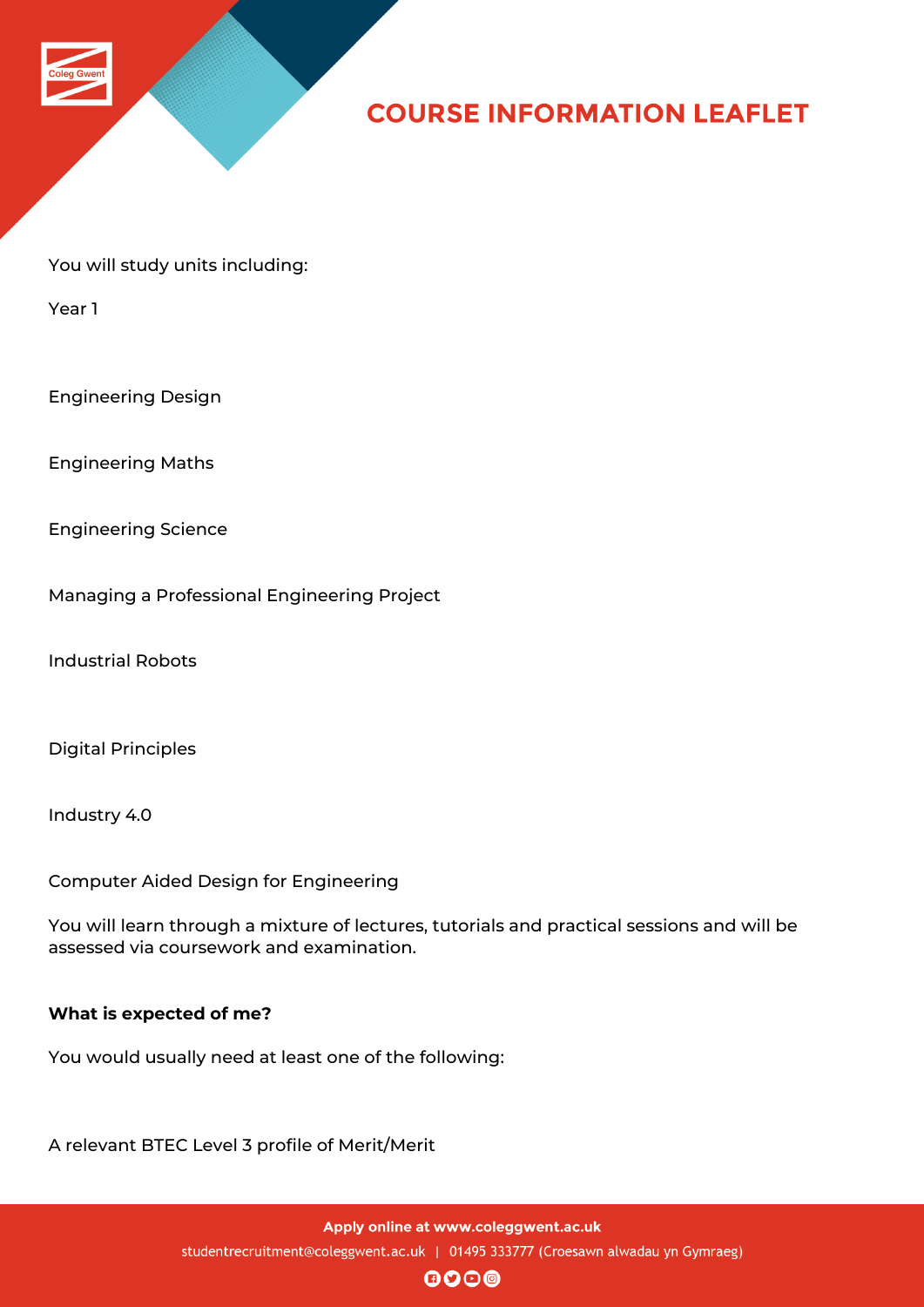

## **COURSE INFORMATION LEAFLET**

You will study units including:

Year 1

Engineering Design

Engineering Maths

Engineering Science

Managing a Professional Engineering Project

Industrial Robots

Digital Principles

Industry 4.0

Computer Aided Design for Engineering

You will learn through a mixture of lectures, tutorials and practical sessions and will be assessed via coursework and examination.

#### **What is expected of me?**

You would usually need at least one of the following:

A relevant BTEC Level 3 profile of Merit/Merit